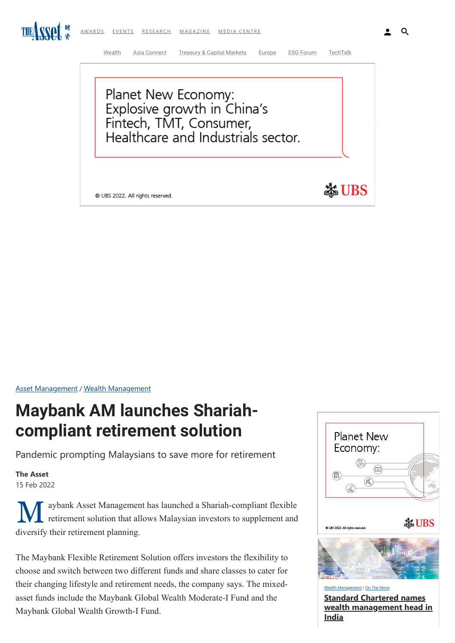

[Asset Management](https://www.theasset.com/section/asset-management) / [Wealth Management](https://www.theasset.com/section/wealth-management)

# **Maybank AM launches Shariahcompliant retirement solution**

Pandemic prompting Malaysians to save more for retirement

**The Asset**

15 Feb 2022



 $\prod$ <sup>ay</sup> aybank Asset Management has launched a Shariah-compliant flexible retirement solution that allows Malaysian investors to supplement and diversify their retirement planning.

The Maybank Flexible Retirement Solution offers investors the flexibility to choose and switch between two different funds and share classes to cater for their changing lifestyle and retirement needs, the company says. The mixedasset funds include the Maybank Global Wealth Moderate-I Fund and the Maybank Global Wealth Growth-I Fund. **INDIA CONFIDENTIFY (THE CONFIDENTIFY)**<br> **IEXPLOSIVE GROWTH IN CHINA'S**<br> **EXECUTE CONFIDENT**<br> **IEXECUTE ASSESS FOR A MARKET AS AND THE CONFIDENT CONFIDENT CONFIDENT CONFIDENT CONFIDENT<br>
IN Markets CONFIDENT CONFIDENT CONFI** 



[Wealth Management](https://www.theasset.com/section/wealth-management) / [On The Move](https://www.theasset.com/section/on-the-move) **Standard Chartered names [wealth management head in](https://www.theasset.com/article/46182/standard-chartered-names-wealth-management-head-in-india)**